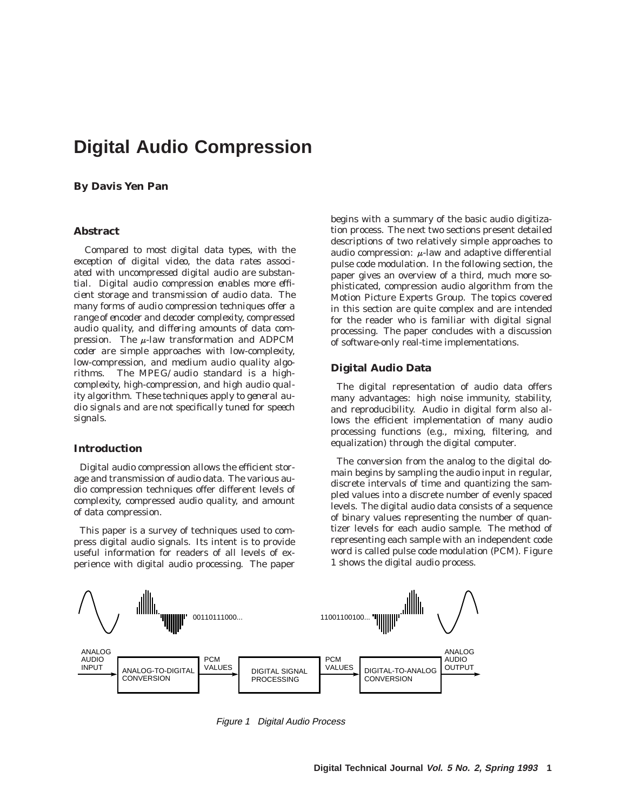# **Digital Audio Compression**

### **By Davis Yen Pan**

### **Abstract**

*Compared to most digital data types, with the exception of digital video, the data rates associated with uncompressed digital audio are substantial. Digital audio compression enables more efficient storage and transmission of audio data. The many forms of audio compression techniques offer a range of encoder and decoder complexity, compressed audio quality, and differing amounts of data compression.* The  $\mu$ -law transformation and ADPCM *coder are simple approaches with low-complexity, low-compression, and medium audio quality algorithms. The MPEG/audio standard is a highcomplexity, high-compression, and high audio quality algorithm. These techniques apply to general audio signals and are not specifically tuned for speech signals.*

#### **Introduction**

Digital audio compression allows the efficient storage and transmission of audio data. The various audio compression techniques offer different levels of complexity, compressed audio quality, and amount of data compression.

This paper is a survey of techniques used to compress digital audio signals. Its intent is to provide useful information for readers of all levels of experience with digital audio processing. The paper begins with a summary of the basic audio digitization process. The next two sections present detailed descriptions of two relatively simple approaches to audio compression:  $\mu$ -law and adaptive differential pulse code modulation. In the following section, the paper gives an overview of a third, much more sophisticated, compression audio algorithm from the Motion Picture Experts Group. The topics covered in this section are quite complex and are intended for the reader who is familiar with digital signal processing. The paper concludes with a discussion of software-only real-time implementations.

### **Digital Audio Data**

The digital representation of audio data offers many advantages: high noise immunity, stability, and reproducibility. Audio in digital form also allows the efficient implementation of many audio processing functions (e.g., mixing, filtering, and equalization) through the digital computer.

The conversion from the analog to the digital domain begins by sampling the audio input in regular, discrete intervals of time and quantizing the sampled values into a discrete number of evenly spaced levels. The digital audio data consists of a sequence of binary values representing the number of quantizer levels for each audio sample. The method of representing each sample with an independent code word is called pulse code modulation (PCM). Figure 1 shows the digital audio process.



Figure 1 Digital Audio Process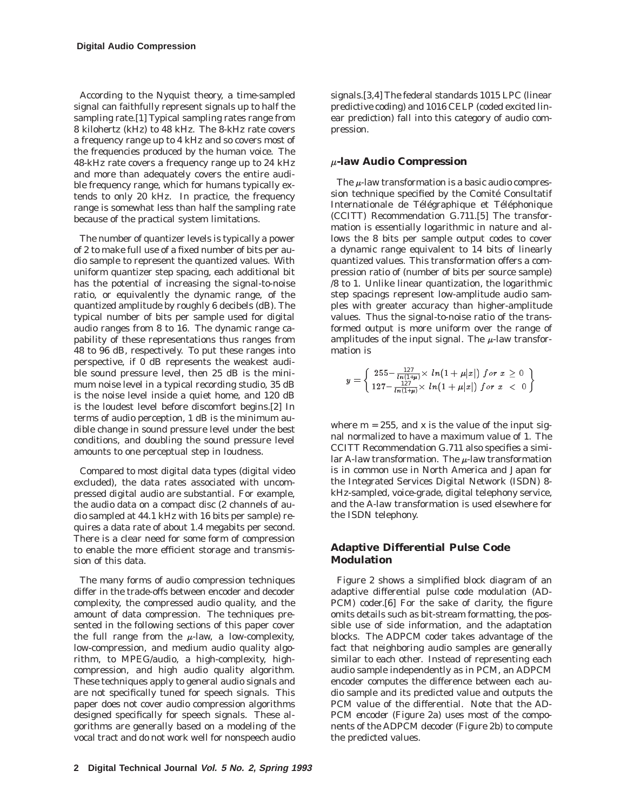According to the Nyquist theory, a time-sampled signal can faithfully represent signals up to half the sampling rate.[1] Typical sampling rates range from 8 kilohertz (kHz) to 48 kHz. The 8-kHz rate covers a frequency range up to 4 kHz and so covers most of the frequencies produced by the human voice. The 48-kHz rate covers a frequency range up to 24 kHz and more than adequately covers the entire audible frequency range, which for humans typically extends to only 20 kHz. In practice, the frequency range is somewhat less than half the sampling rate because of the practical system limitations.

The number of quantizer levels is typically a power of 2 to make full use of a fixed number of bits per audio sample to represent the quantized values. With uniform quantizer step spacing, each additional bit has the potential of increasing the signal-to-noise ratio, or equivalently the dynamic range, of the quantized amplitude by roughly 6 decibels (dB). The typical number of bits per sample used for digital audio ranges from 8 to 16. The dynamic range capability of these representations thus ranges from 48 to 96 dB, respectively. To put these ranges into perspective, if 0 dB represents the weakest audible sound pressure level, then 25 dB is the minimum noise level in a typical recording studio, 35 dB is the noise level inside a quiet home, and 120 dB is the loudest level before discomfort begins.[2] In terms of audio perception, 1 dB is the minimum audible change in sound pressure level under the best conditions, and doubling the sound pressure level amounts to one perceptual step in loudness.

Compared to most digital data types (digital video excluded), the data rates associated with uncompressed digital audio are substantial. For example, the audio data on a compact disc (2 channels of audio sampled at 44.1 kHz with 16 bits per sample) requires a data rate of about 1.4 megabits per second. There is a clear need for some form of compression to enable the more efficient storage and transmission of this data.

The many forms of audio compression techniques differ in the trade-offs between encoder and decoder complexity, the compressed audio quality, and the amount of data compression. The techniques presented in the following sections of this paper cover the full range from the  $\mu$ -law, a low-complexity, low-compression, and medium audio quality algorithm, to MPEG/audio, a high-complexity, highcompression, and high audio quality algorithm. These techniques apply to general audio signals and are not specifically tuned for speech signals. This paper does not cover audio compression algorithms designed specifically for speech signals. These algorithms are generally based on a modeling of the vocal tract and do not work well for nonspeech audio signals.[3,4] The federal standards 1015 LPC (linear predictive coding) and 1016 CELP (coded excited linear prediction) fall into this category of audio compression.

### **-law Audio Compression**

The  $\mu$ -law transformation is a basic audio compression technique specified by the Comité Consultatif Internationale de Télégraphique et Téléphonique (CCITT) Recommendation G.711.[5] The transformation is essentially logarithmic in nature and allows the 8 bits per sample output codes to cover a dynamic range equivalent to 14 bits of linearly quantized values. This transformation offers a compression ratio of (number of bits per source sample) /8 to 1. Unlike linear quantization, the logarithmic step spacings represent low-amplitude audio samples with greater accuracy than higher-amplitude values. Thus the signal-to-noise ratio of the transformed output is more uniform over the range of amplitudes of the input signal. The  $\mu$ -law transformation is

$$
y = \left\{ \begin{array}{l} 255 - \frac{127}{\ln(1 + \mu)x} \times \ln(1 + \mu|x|) \; \text{for} \; x \ge 0 \\ 127 - \frac{127}{\ln(1 + \mu)} \times \ln(1 + \mu|x|) \; \text{for} \; x < 0 \end{array} \right\}
$$

where  $m = 255$ , and *x* is the value of the input signal normalized to have a maximum value of 1. The CCITT Recommendation G.711 also specifies a similar A-law transformation. The  $\mu$ -law transformation is in common use in North America and Japan for the Integrated Services Digital Network (ISDN) 8 kHz-sampled, voice-grade, digital telephony service, and the A-law transformation is used elsewhere for the ISDN telephony.

### **Adaptive Differential Pulse Code Modulation**

Figure 2 shows a simplified block diagram of an adaptive differential pulse code modulation (AD-PCM) coder.[6] For the sake of clarity, the figure omits details such as bit-stream formatting, the possible use of side information, and the adaptation blocks. The ADPCM coder takes advantage of the fact that neighboring audio samples are generally similar to each other. Instead of representing each audio sample independently as in PCM, an ADPCM encoder computes the difference between each audio sample and its predicted value and outputs the PCM value of the differential. Note that the AD-PCM *encoder* (Figure 2a) uses most of the components of the ADPCM *decoder* (Figure 2b) to compute the predicted values.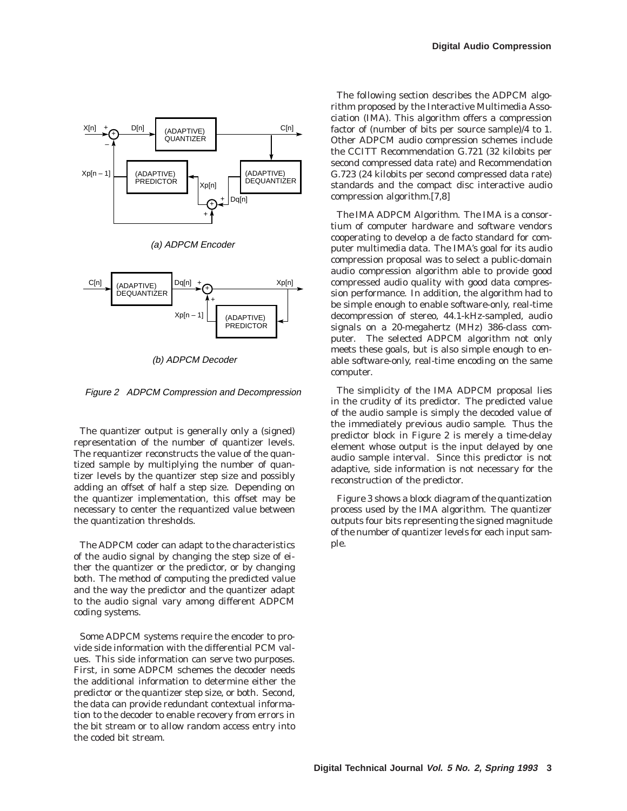

(b) ADPCM Decoder



The quantizer output is generally only a (signed) representation of the number of quantizer levels. The requantizer reconstructs the value of the quantized sample by multiplying the number of quantizer levels by the quantizer step size and possibly adding an offset of half a step size. Depending on the quantizer implementation, this offset may be necessary to center the requantized value between the quantization thresholds.

The ADPCM coder can adapt to the characteristics of the audio signal by changing the step size of either the quantizer or the predictor, or by changing both. The method of computing the predicted value and the way the predictor and the quantizer adapt to the audio signal vary among different ADPCM coding systems.

Some ADPCM systems require the encoder to provide side information with the differential PCM values. This side information can serve two purposes. First, in some ADPCM schemes the decoder needs the additional information to determine either the predictor or the quantizer step size, or both. Second, the data can provide redundant contextual information to the decoder to enable recovery from errors in the bit stream or to allow random access entry into the coded bit stream.

The following section describes the ADPCM algorithm proposed by the Interactive Multimedia Association (IMA). This algorithm offers a compression factor of (number of bits per source sample)/4 to 1. Other ADPCM audio compression schemes include the CCITT Recommendation G.721 (32 kilobits per second compressed data rate) and Recommendation G.723 (24 kilobits per second compressed data rate) standards and the compact disc interactive audio compression algorithm.[7,8]

*The IMA ADPCM Algorithm.* The IMA is a consortium of computer hardware and software vendors cooperating to develop a de facto standard for computer multimedia data. The IMA's goal for its audio compression proposal was to select a public-domain audio compression algorithm able to provide good compressed audio quality with good data compression performance. In addition, the algorithm had to be simple enough to enable software-only, real-time decompression of stereo, 44.1-kHz-sampled, audio signals on a 20-megahertz (MHz) 386-class computer. The selected ADPCM algorithm not only meets these goals, but is also simple enough to enable software-only, real-time encoding on the same computer.

The simplicity of the IMA ADPCM proposal lies in the crudity of its predictor. The predicted value of the audio sample is simply the decoded value of the immediately previous audio sample. Thus the predictor block in Figure 2 is merely a time-delay element whose output is the input delayed by one audio sample interval. Since this predictor is not adaptive, side information is not necessary for the reconstruction of the predictor.

Figure 3 shows a block diagram of the quantization process used by the IMA algorithm. The quantizer outputs four bits representing the signed magnitude of the number of quantizer levels for each input sample.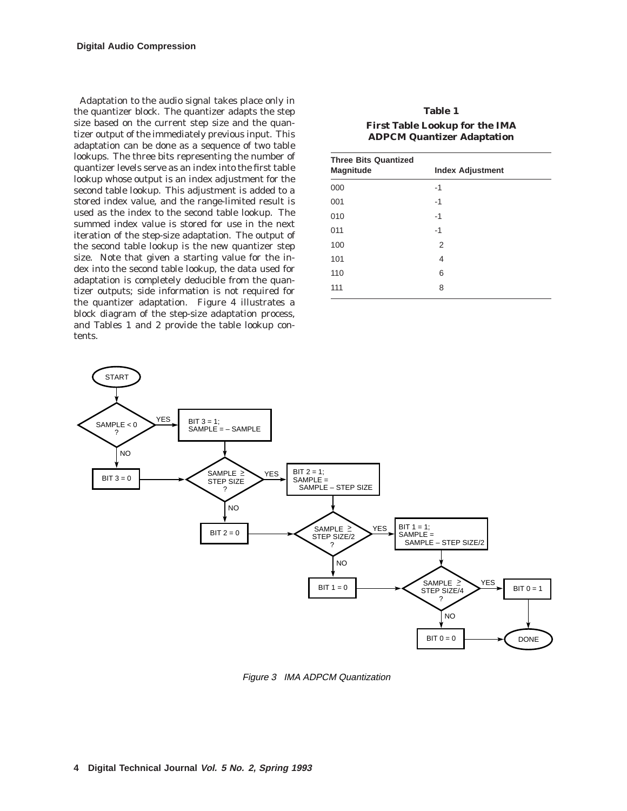Adaptation to the audio signal takes place only in the quantizer block. The quantizer adapts the step size based on the current step size and the quantizer output of the immediately previous input. This adaptation can be done as a sequence of two table lookups. The three bits representing the number of quantizer levels serve as an index into the first table lookup whose output is an index adjustment for the second table lookup. This adjustment is added to a stored index value, and the range-limited result is used as the index to the second table lookup. The summed index value is stored for use in the next iteration of the step-size adaptation. The output of the second table lookup is the new quantizer step size. Note that given a starting value for the index into the second table lookup, the data used for adaptation is completely deducible from the quantizer outputs; side information is not required for the quantizer adaptation. Figure 4 illustrates a block diagram of the step-size adaptation process, and Tables 1 and 2 provide the table lookup contents.

| <b>Table 1</b>                    |
|-----------------------------------|
| First Table Lookup for the IMA    |
| <b>ADPCM Quantizer Adaptation</b> |

| <b>Three Bits Quantized</b> |                         |  |  |  |  |
|-----------------------------|-------------------------|--|--|--|--|
| Magnitude                   | <b>Index Adjustment</b> |  |  |  |  |
| 000                         | -1                      |  |  |  |  |
| 001                         | $-1$                    |  |  |  |  |
| 010                         | $-1$                    |  |  |  |  |
| 011                         | -1                      |  |  |  |  |
| 100                         | 2                       |  |  |  |  |
| 101                         | 4                       |  |  |  |  |
| 110                         | 6                       |  |  |  |  |
| 111                         | 8                       |  |  |  |  |



Figure 3 IMA ADPCM Quantization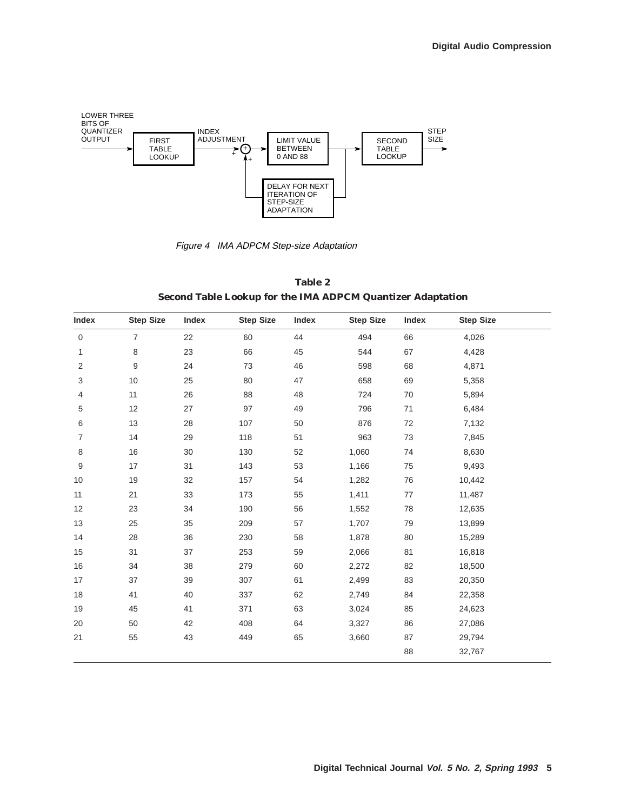

Figure 4 IMA ADPCM Step-size Adaptation

| Table 2                                                    |  |  |  |  |  |
|------------------------------------------------------------|--|--|--|--|--|
| Second Table Lookup for the IMA ADPCM Quantizer Adaptation |  |  |  |  |  |

| <b>Index</b>   | <b>Step Size</b> | Index | <b>Step Size</b> | Index | <b>Step Size</b> | Index | <b>Step Size</b> |  |
|----------------|------------------|-------|------------------|-------|------------------|-------|------------------|--|
| $\mathbf 0$    | $\overline{7}$   | 22    | 60               | 44    | 494              | 66    | 4,026            |  |
| 1              | 8                | 23    | 66               | 45    | 544              | 67    | 4,428            |  |
| 2              | $\boldsymbol{9}$ | 24    | 73               | 46    | 598              | 68    | 4,871            |  |
| 3              | 10               | 25    | 80               | 47    | 658              | 69    | 5,358            |  |
| 4              | 11               | 26    | 88               | 48    | 724              | 70    | 5,894            |  |
| 5              | 12               | 27    | 97               | 49    | 796              | 71    | 6,484            |  |
| 6              | 13               | 28    | 107              | 50    | 876              | 72    | 7,132            |  |
| $\overline{7}$ | 14               | 29    | 118              | 51    | 963              | 73    | 7,845            |  |
| 8              | 16               | 30    | 130              | 52    | 1,060            | 74    | 8,630            |  |
| 9              | 17               | 31    | 143              | 53    | 1,166            | 75    | 9,493            |  |
| 10             | 19               | 32    | 157              | 54    | 1,282            | 76    | 10,442           |  |
| 11             | 21               | 33    | 173              | 55    | 1,411            | 77    | 11,487           |  |
| 12             | 23               | 34    | 190              | 56    | 1,552            | 78    | 12,635           |  |
| 13             | 25               | 35    | 209              | 57    | 1,707            | 79    | 13,899           |  |
| 14             | 28               | 36    | 230              | 58    | 1,878            | 80    | 15,289           |  |
| 15             | 31               | 37    | 253              | 59    | 2,066            | 81    | 16,818           |  |
| 16             | 34               | 38    | 279              | 60    | 2,272            | 82    | 18,500           |  |
| 17             | 37               | 39    | 307              | 61    | 2,499            | 83    | 20,350           |  |
| 18             | 41               | 40    | 337              | 62    | 2,749            | 84    | 22,358           |  |
| 19             | 45               | 41    | 371              | 63    | 3,024            | 85    | 24,623           |  |
| 20             | 50               | 42    | 408              | 64    | 3,327            | 86    | 27,086           |  |
| 21             | 55               | 43    | 449              | 65    | 3,660            | 87    | 29,794           |  |
|                |                  |       |                  |       |                  | 88    | 32,767           |  |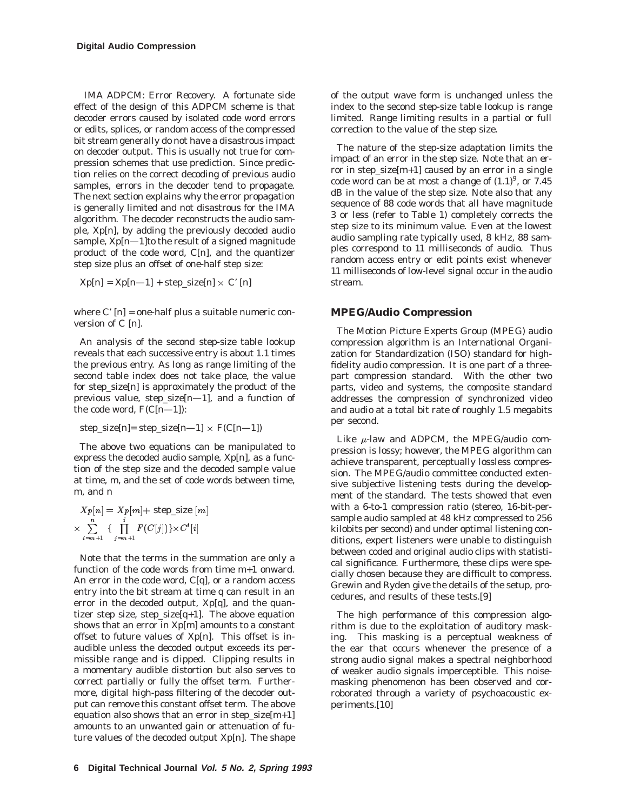*IMA ADPCM: Error Recovery.* A fortunate side effect of the design of this ADPCM scheme is that decoder errors caused by isolated code word errors or edits, splices, or random access of the compressed bit stream generally do not have a disastrous impact on decoder output. This is usually not true for compression schemes that use prediction. Since prediction relies on the correct decoding of previous audio samples, errors in the decoder tend to propagate. The next section explains why the error propagation is generally limited and not disastrous for the IMA algorithm. The decoder reconstructs the audio sample, *Xp*[*n*], by adding the previously decoded audio sample, *Xp*[*n*—1]to the result of a signed magnitude product of the code word, *C*[*n*], and the quantizer step size plus an offset of one-half step size:

 $Xp[n] = Xp[n-1] + \text{step\_size}[n] \times C'[n]$ 

where  $C'[n]$  = one-half plus a suitable numeric conversion of *C* [*n*].

An analysis of the second step-size table lookup reveals that each successive entry is about 1.1 times the previous entry. As long as range limiting of the second table index does not take place, the value for step\_size[*n*] is approximately the product of the previous value, step\_size[*n*—1], and a function of the code word,  $F(C[n-1])$ :

$$
step\_size[n] = step\_size[n-1] \times F(C[n-1])
$$

The above two equations can be manipulated to express the decoded audio sample, *Xp*[*n*], as a function of the step size and the decoded sample value at time, *m*, and the set of code words between time, *m*, and *n*

$$
Xp[n] = Xp[m] + \text{step\_size} [m]
$$
  
\$\times \sum\_{i=m+1}^{n} {\prod\_{j=m+1}^{i} F(C[j])} \times C'[i]\$

Note that the terms in the summation are only a function of the code words from time *m*+1 onward. An error in the code word, *C*[*q*], or a random access entry into the bit stream at time *q* can result in an error in the decoded output, *Xp*[*q*], and the quantizer step size, step\_size[ $q+1$ ]. The above equation shows that an error in *Xp*[*m*] amounts to a constant offset to future values of *Xp*[*n*]. This offset is inaudible unless the decoded output exceeds its permissible range and is clipped. Clipping results in a momentary audible distortion but also serves to correct partially or fully the offset term. Furthermore, digital high-pass filtering of the decoder output can remove this constant offset term. The above equation also shows that an error in step\_size[*m*+1] amounts to an unwanted gain or attenuation of future values of the decoded output *Xp*[*n*]. The shape

of the output wave form is unchanged unless the index to the second step-size table lookup is range limited. Range limiting results in a partial or full correction to the value of the step size.

The nature of the step-size adaptation limits the impact of an error in the step size. Note that an error in step\_size[*m*+1] caused by an error in a single code word can be at most a change of  $(1.1)^9$ , or 7.45 dB in the value of the step size. Note also that any sequence of 88 code words that all have magnitude 3 or less (refer to Table 1) completely corrects the step size to its minimum value. Even at the lowest audio sampling rate typically used, 8 kHz, 88 samples correspond to 11 milliseconds of audio. Thus random access entry or edit points exist whenever 11 milliseconds of low-level signal occur in the audio stream.

### **MPEG/Audio Compression**

The Motion Picture Experts Group (MPEG) audio compression algorithm is an International Organization for Standardization (ISO) standard for highfidelity audio compression. It is one part of a threepart compression standard. With the other two parts, video and systems, the composite standard addresses the compression of synchronized video and audio at a total bit rate of roughly 1.5 megabits per second.

Like  $\mu$ -law and ADPCM, the MPEG/audio compression is lossy; however, the MPEG algorithm can achieve transparent, perceptually lossless compression. The MPEG/audio committee conducted extensive subjective listening tests during the development of the standard. The tests showed that even with a 6-to-1 compression ratio (stereo, 16-bit-persample audio sampled at 48 kHz compressed to 256 kilobits per second) and under optimal listening conditions, expert listeners were unable to distinguish between coded and original audio clips with statistical significance. Furthermore, these clips were specially chosen because they are difficult to compress. Grewin and Ryden give the details of the setup, procedures, and results of these tests.[9]

The high performance of this compression algorithm is due to the exploitation of auditory masking. This masking is a perceptual weakness of the ear that occurs whenever the presence of a strong audio signal makes a spectral neighborhood of weaker audio signals imperceptible. This noisemasking phenomenon has been observed and corroborated through a variety of psychoacoustic experiments.[10]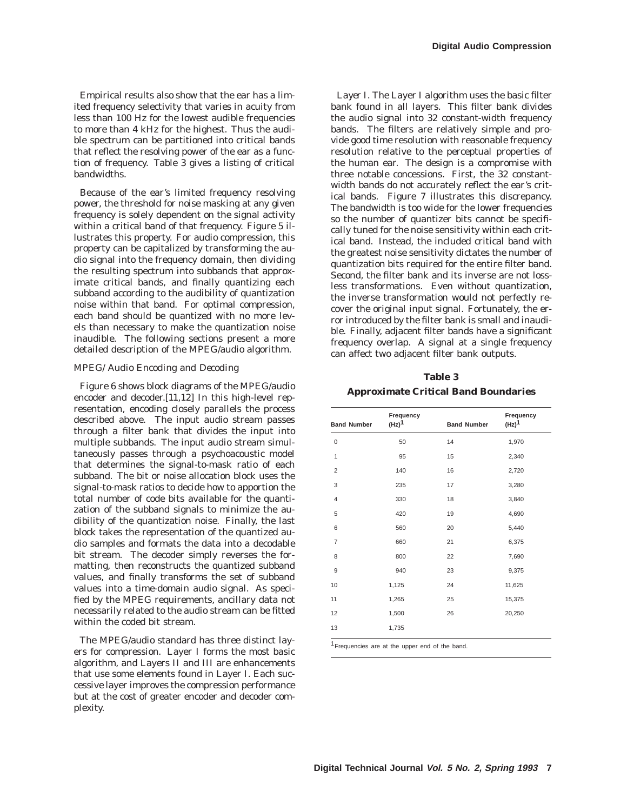Empirical results also show that the ear has a limited frequency selectivity that varies in acuity from less than 100 Hz for the lowest audible frequencies to more than 4 kHz for the highest. Thus the audible spectrum can be partitioned into critical bands that reflect the resolving power of the ear as a function of frequency. Table 3 gives a listing of critical bandwidths.

Because of the ear's limited frequency resolving power, the threshold for noise masking at any given frequency is solely dependent on the signal activity within a critical band of that frequency. Figure 5 illustrates this property. For audio compression, this property can be capitalized by transforming the audio signal into the frequency domain, then dividing the resulting spectrum into subbands that approximate critical bands, and finally quantizing each subband according to the audibility of quantization noise within that band. For optimal compression, each band should be quantized with no more levels than necessary to make the quantization noise inaudible. The following sections present a more detailed description of the MPEG/audio algorithm.

### *MPEG/Audio Encoding and Decoding*

Figure 6 shows block diagrams of the MPEG/audio encoder and decoder.[11,12] In this high-level representation, encoding closely parallels the process described above. The input audio stream passes through a filter bank that divides the input into multiple subbands. The input audio stream simultaneously passes through a psychoacoustic model that determines the signal-to-mask ratio of each subband. The bit or noise allocation block uses the signal-to-mask ratios to decide how to apportion the total number of code bits available for the quantization of the subband signals to minimize the audibility of the quantization noise. Finally, the last block takes the representation of the quantized audio samples and formats the data into a decodable bit stream. The decoder simply reverses the formatting, then reconstructs the quantized subband values, and finally transforms the set of subband values into a time-domain audio signal. As specified by the MPEG requirements, ancillary data not necessarily related to the audio stream can be fitted within the coded bit stream.

The MPEG/audio standard has three distinct layers for compression. Layer I forms the most basic algorithm, and Layers II and III are enhancements that use some elements found in Layer I. Each successive layer improves the compression performance but at the cost of greater encoder and decoder complexity.

*Layer I.* The Layer I algorithm uses the basic filter bank found in all layers. This filter bank divides the audio signal into 32 constant-width frequency bands. The filters are relatively simple and provide good time resolution with reasonable frequency resolution relative to the perceptual properties of the human ear. The design is a compromise with three notable concessions. First, the 32 constantwidth bands do not accurately reflect the ear's critical bands. Figure 7 illustrates this discrepancy. The bandwidth is too wide for the lower frequencies so the number of quantizer bits cannot be specifically tuned for the noise sensitivity within each critical band. Instead, the included critical band with the greatest noise sensitivity dictates the number of quantization bits required for the entire filter band. Second, the filter bank and its inverse are not lossless transformations. Even without quantization, the inverse transformation would not perfectly recover the original input signal. Fortunately, the error introduced by the filter bank is small and inaudible. Finally, adjacent filter bands have a significant frequency overlap. A signal at a single frequency can affect two adjacent filter bank outputs.

# **Table 3 Approximate Critical Band Boundaries**

| <b>Band Number</b> | Frequency<br>$(Hz)^1$ | <b>Band Number</b> | Frequency<br>$(Hz)^{1}$ |
|--------------------|-----------------------|--------------------|-------------------------|
| 0                  | 50                    | 14                 | 1,970                   |
| $\mathbf{1}$       | 95                    | 15                 | 2,340                   |
| $\overline{2}$     | 140                   | 16                 | 2,720                   |
| 3                  | 235                   | 17                 | 3,280                   |
| $\overline{4}$     | 330                   | 18                 | 3,840                   |
| 5                  | 420                   | 19                 | 4,690                   |
| 6                  | 560                   | 20                 | 5,440                   |
| $\overline{7}$     | 660                   | 21                 | 6,375                   |
| 8                  | 800                   | 22                 | 7,690                   |
| 9                  | 940                   | 23                 | 9,375                   |
| 10                 | 1,125                 | 24                 | 11,625                  |
| 11                 | 1,265                 | 25                 | 15,375                  |
| 12                 | 1,500                 | 26                 | 20,250                  |
| 13                 | 1,735                 |                    |                         |

<sup>1</sup> Frequencies are at the upper end of the band.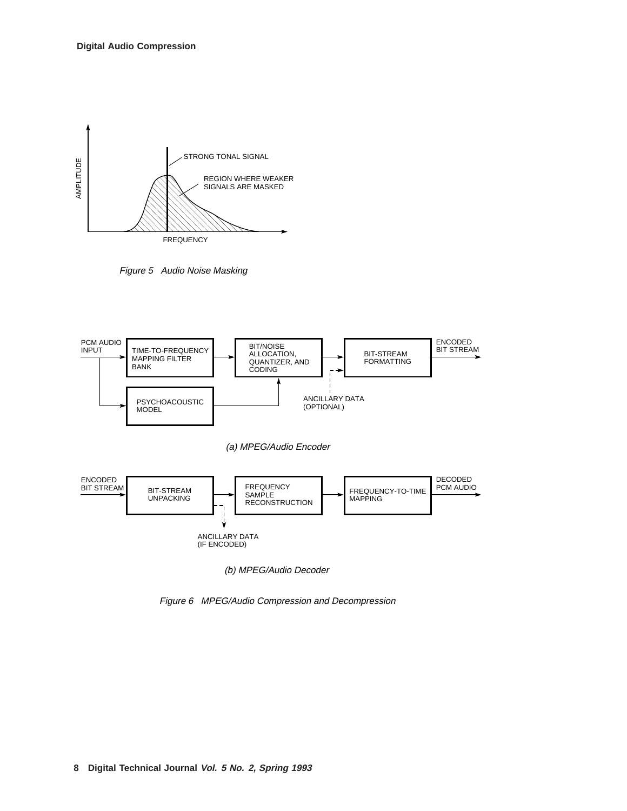

Figure 5 Audio Noise Masking



Figure 6 MPEG/Audio Compression and Decompression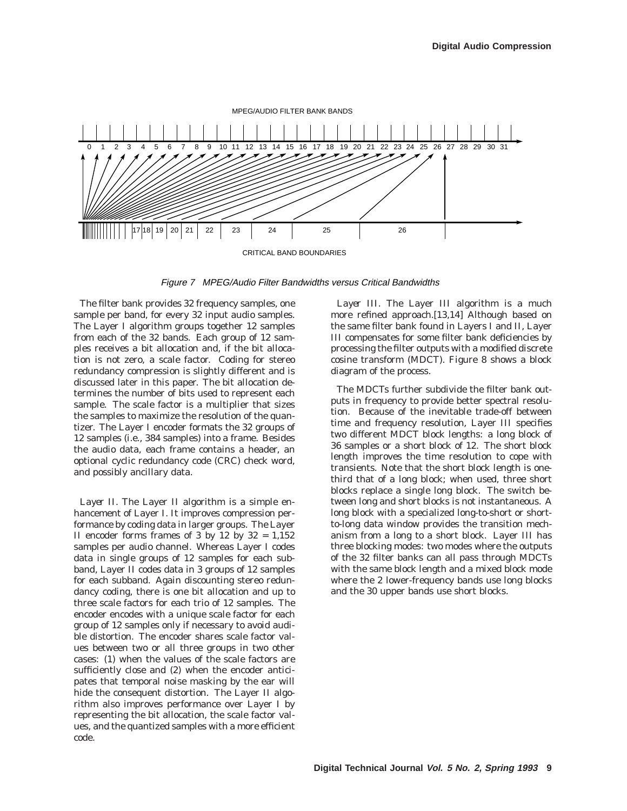

Figure 7 MPEG/Audio Filter Bandwidths versus Critical Bandwidths

The filter bank provides 32 frequency samples, one sample per band, for every 32 input audio samples. The Layer I algorithm groups together 12 samples from each of the 32 bands. Each group of 12 samples receives a bit allocation and, if the bit allocation is not zero, a scale factor. Coding for stereo redundancy compression is slightly different and is discussed later in this paper. The bit allocation determines the number of bits used to represent each sample. The scale factor is a multiplier that sizes the samples to maximize the resolution of the quantizer. The Layer I encoder formats the 32 groups of 12 samples (i.e., 384 samples) into a frame. Besides the audio data, each frame contains a header, an optional cyclic redundancy code (CRC) check word, and possibly ancillary data.

*Layer II.* The Layer II algorithm is a simple enhancement of Layer I. It improves compression performance by coding data in larger groups. The Layer II encoder forms frames of 3 by  $12$  by  $32 = 1,152$ samples per audio channel. Whereas Layer I codes data in single groups of 12 samples for each subband, Layer II codes data in 3 groups of 12 samples for each subband. Again discounting stereo redundancy coding, there is one bit allocation and up to three scale factors for each trio of 12 samples. The encoder encodes with a unique scale factor for each group of 12 samples only if necessary to avoid audible distortion. The encoder shares scale factor values between two or all three groups in two other cases: (1) when the values of the scale factors are sufficiently close and (2) when the encoder anticipates that temporal noise masking by the ear will hide the consequent distortion. The Layer II algorithm also improves performance over Layer I by representing the bit allocation, the scale factor values, and the quantized samples with a more efficient code.

*Layer III.* The Layer III algorithm is a much more refined approach.[13,14] Although based on the same filter bank found in Layers I and II, Layer III compensates for some filter bank deficiencies by processing the filter outputs with a modified discrete cosine transform (MDCT). Figure 8 shows a block diagram of the process.

The MDCTs further subdivide the filter bank outputs in frequency to provide better spectral resolution. Because of the inevitable trade-off between time and frequency resolution, Layer III specifies two different MDCT block lengths: a long block of 36 samples or a short block of 12. The short block length improves the time resolution to cope with transients. Note that the short block length is onethird that of a long block; when used, three short blocks replace a single long block. The switch between long and short blocks is not instantaneous. A long block with a specialized long-to-short or shortto-long data window provides the transition mechanism from a long to a short block. Layer III has three blocking modes: two modes where the outputs of the 32 filter banks can all pass through MDCTs with the same block length and a mixed block mode where the 2 lower-frequency bands use long blocks and the 30 upper bands use short blocks.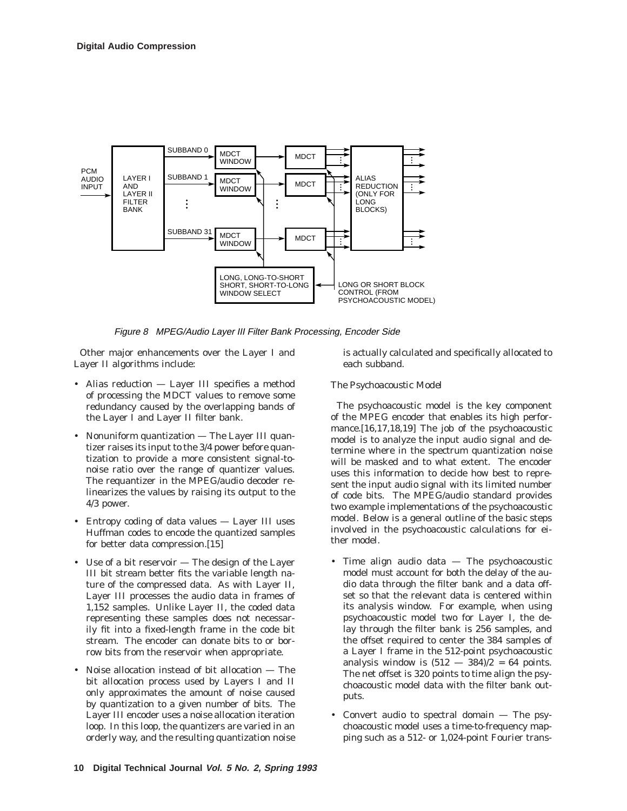

Figure 8 MPEG/Audio Layer III Filter Bank Processing, Encoder Side

Other major enhancements over the Layer I and Layer II algorithms include:

- Alias reduction Layer III specifies a method of processing the MDCT values to remove some redundancy caused by the overlapping bands of the Layer I and Layer II filter bank.
- Nonuniform quantization The Layer III quantizer raises its input to the 3/4 power before quantization to provide a more consistent signal-tonoise ratio over the range of quantizer values. The requantizer in the MPEG/audio decoder relinearizes the values by raising its output to the 4/3 power.
- Entropy coding of data values Layer III uses Huffman codes to encode the quantized samples for better data compression.[15]
- Use of a bit reservoir The design of the Layer III bit stream better fits the variable length nature of the compressed data. As with Layer II, Layer III processes the audio data in frames of 1,152 samples. Unlike Layer II, the coded data representing these samples does not necessarily fit into a fixed-length frame in the code bit stream. The encoder can donate bits to or borrow bits from the reservoir when appropriate.
- Noise allocation instead of bit allocation The bit allocation process used by Layers I and II only approximates the amount of noise caused by quantization to a given number of bits. The Layer III encoder uses a noise allocation iteration loop. In this loop, the quantizers are varied in an orderly way, and the resulting quantization noise

is actually calculated and specifically allocated to each subband.

### *The Psychoacoustic Model*

The psychoacoustic model is the key component of the MPEG encoder that enables its high performance.[16,17,18,19] The job of the psychoacoustic model is to analyze the input audio signal and determine where in the spectrum quantization noise will be masked and to what extent. The encoder uses this information to decide how best to represent the input audio signal with its limited number of code bits. The MPEG/audio standard provides two example implementations of the psychoacoustic model. Below is a general outline of the basic steps involved in the psychoacoustic calculations for either model.

- Time align audio data  $-$  The psychoacoustic model must account for both the delay of the audio data through the filter bank and a data offset so that the relevant data is centered within its analysis window. For example, when using psychoacoustic model two for Layer I, the delay through the filter bank is 256 samples, and the offset required to center the 384 samples of a Layer I frame in the 512-point psychoacoustic analysis window is  $(512 - 384)/2 = 64$  points. The net offset is 320 points to time align the psychoacoustic model data with the filter bank outputs.
- Convert audio to spectral domain  $-$  The psychoacoustic model uses a time-to-frequency mapping such as a 512- or 1,024-point Fourier trans-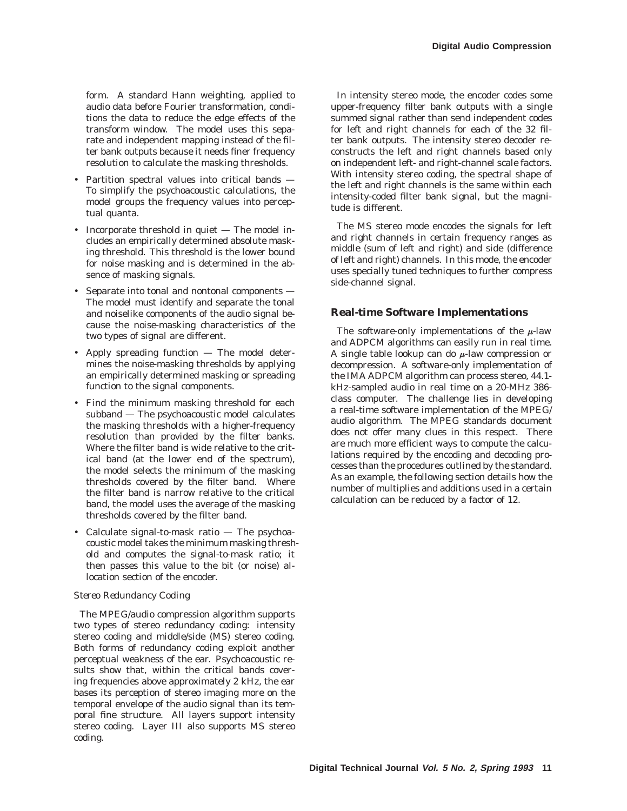form. A standard Hann weighting, applied to audio data before Fourier transformation, conditions the data to reduce the edge effects of the transform window. The model uses this separate and independent mapping instead of the filter bank outputs because it needs finer frequency resolution to calculate the masking thresholds.

- Partition spectral values into critical bands To simplify the psychoacoustic calculations, the model groups the frequency values into perceptual quanta.
- Incorporate threshold in quiet The model includes an empirically determined absolute masking threshold. This threshold is the lower bound for noise masking and is determined in the absence of masking signals.
- Separate into tonal and nontonal components The model must identify and separate the tonal and noiselike components of the audio signal because the noise-masking characteristics of the two types of signal are different.
- Apply spreading function The model determines the noise-masking thresholds by applying an empirically determined masking or spreading function to the signal components.
- Find the minimum masking threshold for each subband — The psychoacoustic model calculates the masking thresholds with a higher-frequency resolution than provided by the filter banks. Where the filter band is wide relative to the critical band (at the lower end of the spectrum), the model selects the minimum of the masking thresholds covered by the filter band. Where the filter band is narrow relative to the critical band, the model uses the average of the masking thresholds covered by the filter band.
- Calculate signal-to-mask ratio The psychoacoustic model takes the minimum masking threshold and computes the signal-to-mask ratio; it then passes this value to the bit (or noise) allocation section of the encoder.

### *Stereo Redundancy Coding*

The MPEG/audio compression algorithm supports two types of stereo redundancy coding: intensity stereo coding and middle/side (MS) stereo coding. Both forms of redundancy coding exploit another perceptual weakness of the ear. Psychoacoustic results show that, within the critical bands covering frequencies above approximately 2 kHz, the ear bases its perception of stereo imaging more on the temporal envelope of the audio signal than its temporal fine structure. All layers support intensity stereo coding. Layer III also supports MS stereo coding.

In intensity stereo mode, the encoder codes some upper-frequency filter bank outputs with a single summed signal rather than send independent codes for left and right channels for each of the 32 filter bank outputs. The intensity stereo decoder reconstructs the left and right channels based only on independent left- and right-channel scale factors. With intensity stereo coding, the spectral shape of the left and right channels is the same within each intensity-coded filter bank signal, but the magnitude is different.

The MS stereo mode encodes the signals for left and right channels in certain frequency ranges as middle (sum of left and right) and side (difference of left and right) channels. In this mode, the encoder uses specially tuned techniques to further compress side-channel signal.

#### **Real-time Software Implementations**

The software-only implementations of the  $\mu$ -law and ADPCM algorithms can easily run in real time. A single table lookup can do  $\mu$ -law compression or decompression. A software-only implementation of the IMA ADPCM algorithm can process stereo, 44.1 kHz-sampled audio in real time on a 20-MHz 386 class computer. The challenge lies in developing a real-time software implementation of the MPEG/ audio algorithm. The MPEG standards document does not offer many clues in this respect. There are much more efficient ways to compute the calculations required by the encoding and decoding processes than the procedures outlined by the standard. As an example, the following section details how the number of multiplies and additions used in a certain calculation can be reduced by a factor of 12.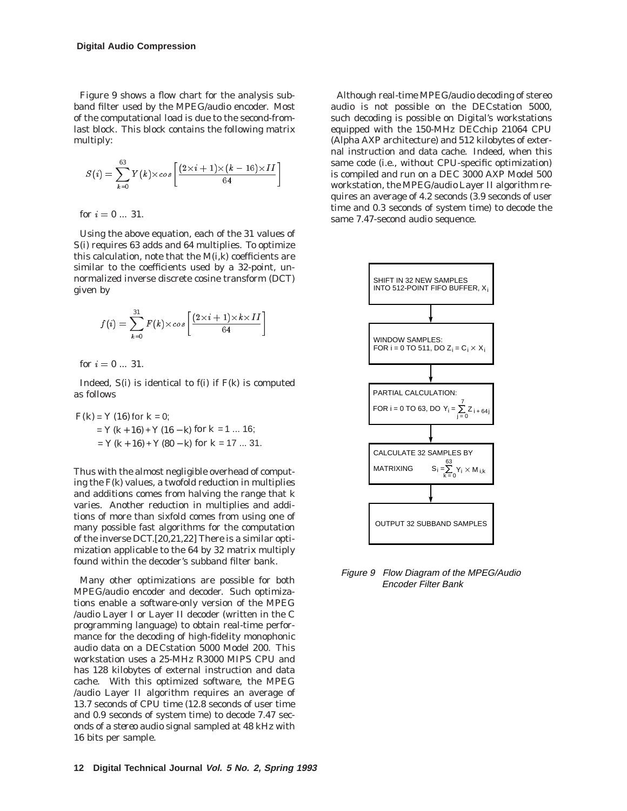Figure 9 shows a flow chart for the analysis subband filter used by the MPEG/audio encoder. Most of the computational load is due to the second-fromlast block. This block contains the following matrix multiply:

$$
S(i) = \sum_{k=0}^{63} Y(k) \times \cos\left[\frac{(2 \times i + 1) \times (k - 16) \times II}{64}\right]
$$

for  $i = 0 ... 31$ .

Using the above equation, each of the 31 values of *S(i)* requires 63 adds and 64 multiplies. To optimize this calculation, note that the *M(i,k)* coefficients are similar to the coefficients used by a 32-point, unnormalized inverse discrete cosine transform (DCT) given by

$$
f(i) = \sum_{k=0}^{31} F(k) \times \cos\left[\frac{(2 \times i + 1) \times k \times II}{64}\right]
$$

for  $i = 0 ... 31$ .

Indeed, *S(i)* is identical to *f(i)* if *F(k)* is computed as follows

$$
F(k) = Y(16)
$$
for  $k = 0$ ;  
=  $Y(k + 16) + Y(16 - k)$  for  $k = 1 ... 16$ ;  
=  $Y(k + 16) + Y(80 - k)$  for  $k = 17 ... 31$ .

Thus with the almost negligible overhead of computing the *F(k)* values, a twofold reduction in multiplies and additions comes from halving the range that *k* varies. Another reduction in multiplies and additions of more than sixfold comes from using one of many possible fast algorithms for the computation of the inverse DCT.[20,21,22] There is a similar optimization applicable to the 64 by 32 matrix multiply found within the decoder's subband filter bank.

Many other optimizations are possible for both MPEG/audio encoder and decoder. Such optimizations enable a software-only version of the MPEG /audio Layer I or Layer II decoder (written in the C programming language) to obtain real-time performance for the decoding of high-fidelity monophonic audio data on a DECstation 5000 Model 200. This workstation uses a 25-MHz R3000 MIPS CPU and has 128 kilobytes of external instruction and data cache. With this optimized software, the MPEG /audio Layer II algorithm requires an average of 13.7 seconds of CPU time (12.8 seconds of user time and 0.9 seconds of system time) to decode 7.47 seconds of a *stereo* audio signal sampled at 48 kHz with 16 bits per sample.

Although real-time MPEG/audio decoding of stereo audio is not possible on the DECstation 5000, such decoding is possible on Digital's workstations equipped with the 150-MHz DECchip 21064 CPU (Alpha AXP architecture) and 512 kilobytes of external instruction and data cache. Indeed, when this same code (i.e., without CPU-specific optimization) is compiled and run on a DEC 3000 AXP Model 500 workstation, the MPEG/audio Layer II algorithm requires an average of 4.2 seconds (3.9 seconds of user time and 0.3 seconds of system time) to decode the same 7.47-second audio sequence.



Figure 9 Flow Diagram of the MPEG/Audio Encoder Filter Bank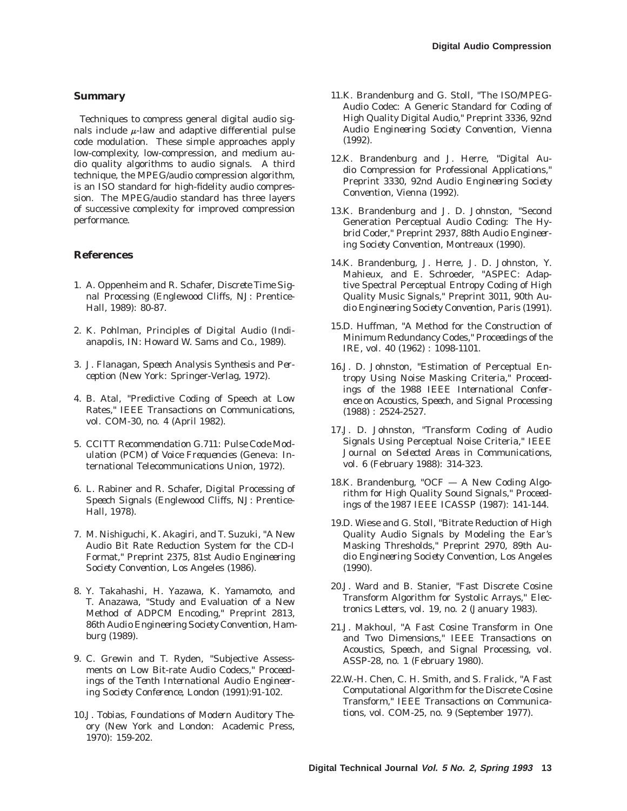### **Summary**

Techniques to compress general digital audio signals include  $\mu$ -law and adaptive differential pulse code modulation. These simple approaches apply low-complexity, low-compression, and medium audio quality algorithms to audio signals. A third technique, the MPEG/audio compression algorithm, is an ISO standard for high-fidelity audio compression. The MPEG/audio standard has three layers of successive complexity for improved compression performance.

### **References**

- 1. A. Oppenheim and R. Schafer, *Discrete Time Signal Processing* (Englewood Cliffs, NJ: Prentice-Hall, 1989): 80-87.
- 2. K. Pohlman, *Principles of Digital Audio* (Indianapolis, IN: Howard W. Sams and Co., 1989).
- 3. J. Flanagan, *Speech Analysis Synthesis and Perception* (New York: Springer-Verlag, 1972).
- 4. B. Atal, "Predictive Coding of Speech at Low Rates," *IEEE Transactions on Communications,* vol. COM-30, no. 4 (April 1982).
- 5. *CCITT Recommendation G.711: Pulse Code Modulation (PCM) of Voice Frequencies* (Geneva: International Telecommunications Union, 1972).
- 6. L. Rabiner and R. Schafer, *Digital Processing of Speech Signals* (Englewood Cliffs, NJ: Prentice-Hall, 1978).
- 7. M. Nishiguchi, K. Akagiri, and T. Suzuki, "A New Audio Bit Rate Reduction System for the CD-I Format," Preprint 2375, *81st Audio Engineering Society Convention,* Los Angeles (1986).
- 8. Y. Takahashi, H. Yazawa, K. Yamamoto, and T. Anazawa, "Study and Evaluation of a New Method of ADPCM Encoding," Preprint 2813, *86th Audio Engineering Society Convention,* Hamburg (1989).
- 9. C. Grewin and T. Ryden, "Subjective Assessments on Low Bit-rate Audio Codecs," *Proceedings of the Tenth International Audio Engineering Society Conference,* London (1991):91-102.
- 10.J. Tobias, *Foundations of Modern Auditory Theory* (New York and London: Academic Press, 1970): 159-202.
- 11.K. Brandenburg and G. Stoll, "The ISO/MPEG-Audio Codec: A Generic Standard for Coding of High Quality Digital Audio," Preprint 3336, *92nd Audio Engineering Society Convention,* Vienna (1992).
- 12.K. Brandenburg and J. Herre, "Digital Audio Compression for Professional Applications," Preprint 3330, *92nd Audio Engineering Society Convention,* Vienna (1992).
- 13.K. Brandenburg and J. D. Johnston, "Second Generation Perceptual Audio Coding: The Hybrid Coder," Preprint 2937, *88th Audio Engineering Society Convention,* Montreaux (1990).
- 14.K. Brandenburg, J. Herre, J. D. Johnston, Y. Mahieux, and E. Schroeder, "ASPEC: Adaptive Spectral Perceptual Entropy Coding of High Quality Music Signals," Preprint 3011, *90th Audio Engineering Society Convention,* Paris (1991).
- 15.D. Huffman, "A Method for the Construction of Minimum Redundancy Codes," *Proceedings of the IRE,* vol. 40 (1962) : 1098-1101.
- 16.J. D. Johnston, "Estimation of Perceptual Entropy Using Noise Masking Criteria," *Proceedings of the 1988 IEEE International Conference on Acoustics, Speech, and Signal Processing* (1988) : 2524-2527.
- 17.J. D. Johnston, "Transform Coding of Audio Signals Using Perceptual Noise Criteria," *IEEE Journal on Selected Areas in Communications,* vol. 6 (February 1988): 314-323.
- 18.K. Brandenburg, "OCF A New Coding Algorithm for High Quality Sound Signals," *Proceedings of the 1987 IEEE ICASSP* (1987): 141-144.
- 19.D. Wiese and G. Stoll, "Bitrate Reduction of High Quality Audio Signals by Modeling the Ear's Masking Thresholds," Preprint 2970, *89th Audio Engineering Society Convention,* Los Angeles (1990).
- 20.J. Ward and B. Stanier, "Fast Discrete Cosine Transform Algorithm for Systolic Arrays," *Electronics Letters,* vol. 19, no. 2 (January 1983).
- 21.J. Makhoul, "A Fast Cosine Transform in One and Two Dimensions," *IEEE Transactions on Acoustics, Speech, and Signal Processing,* vol. ASSP-28, no. 1 (February 1980).
- 22.W.-H. Chen, C. H. Smith, and S. Fralick, "A Fast Computational Algorithm for the Discrete Cosine Transform," *IEEE Transactions on Communications,* vol. COM-25, no. 9 (September 1977).